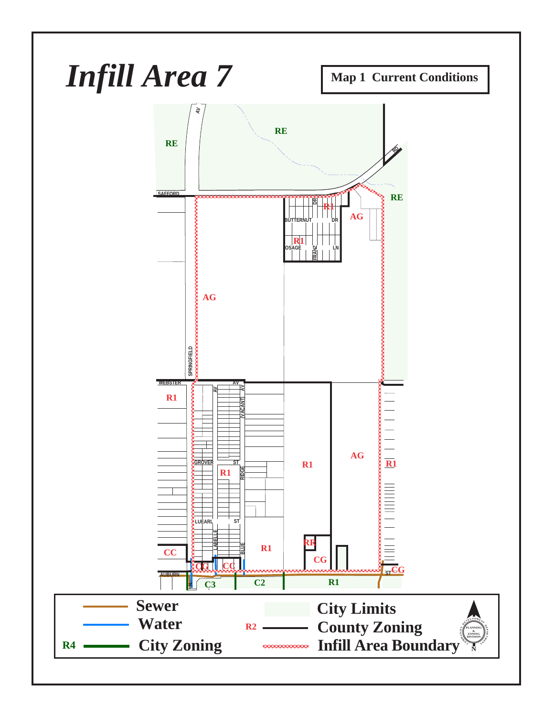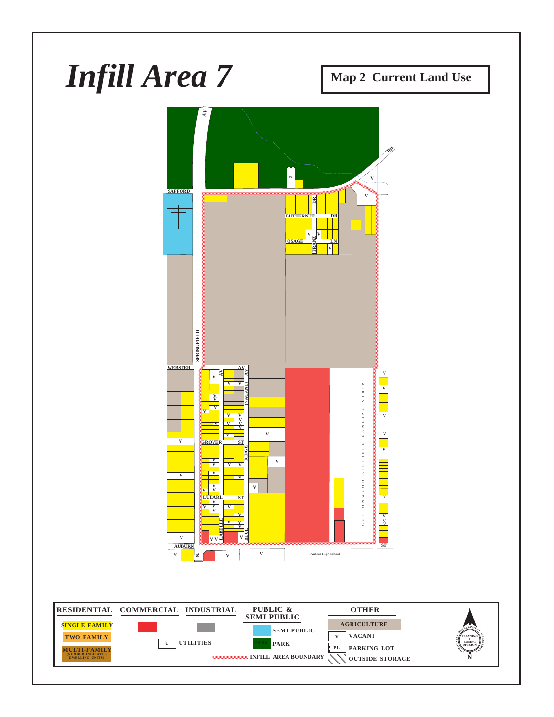